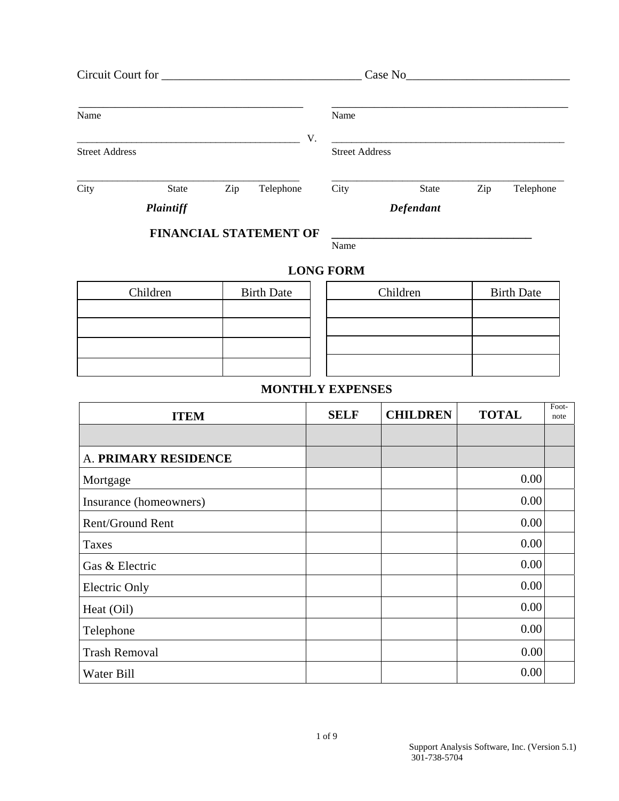|                       | Circuit Court for             |     |           |    |                       | Case No      |     |           |
|-----------------------|-------------------------------|-----|-----------|----|-----------------------|--------------|-----|-----------|
| Name                  |                               |     |           |    | Name                  |              |     |           |
| <b>Street Address</b> |                               |     |           | V. | <b>Street Address</b> |              |     |           |
| City                  | <b>State</b>                  | Zip | Telephone |    | City                  | <b>State</b> | Zip | Telephone |
|                       | Plaintiff                     |     |           |    |                       | Defendant    |     |           |
|                       | <b>FINANCIAL STATEMENT OF</b> |     |           |    |                       |              |     |           |

## **LONG FORM**

Name

| Children | <b>Birth Date</b> | Children | <b>Birth Date</b> |
|----------|-------------------|----------|-------------------|
|          |                   |          |                   |
|          |                   |          |                   |
|          |                   |          |                   |
|          |                   |          |                   |

## **MONTHLY EXPENSES**

| <b>ITEM</b>            | <b>SELF</b> | <b>CHILDREN</b> | <b>TOTAL</b> | Foot-<br>note |
|------------------------|-------------|-----------------|--------------|---------------|
|                        |             |                 |              |               |
| A. PRIMARY RESIDENCE   |             |                 |              |               |
| Mortgage               |             |                 | 0.00         |               |
| Insurance (homeowners) |             |                 | 0.00         |               |
| Rent/Ground Rent       |             |                 | 0.00         |               |
| Taxes                  |             |                 | 0.00         |               |
| Gas & Electric         |             |                 | 0.00         |               |
| Electric Only          |             |                 | 0.00         |               |
| Heat (Oil)             |             |                 | 0.00         |               |
| Telephone              |             |                 | 0.00         |               |
| <b>Trash Removal</b>   |             |                 | 0.00         |               |
| Water Bill             |             |                 | 0.00         |               |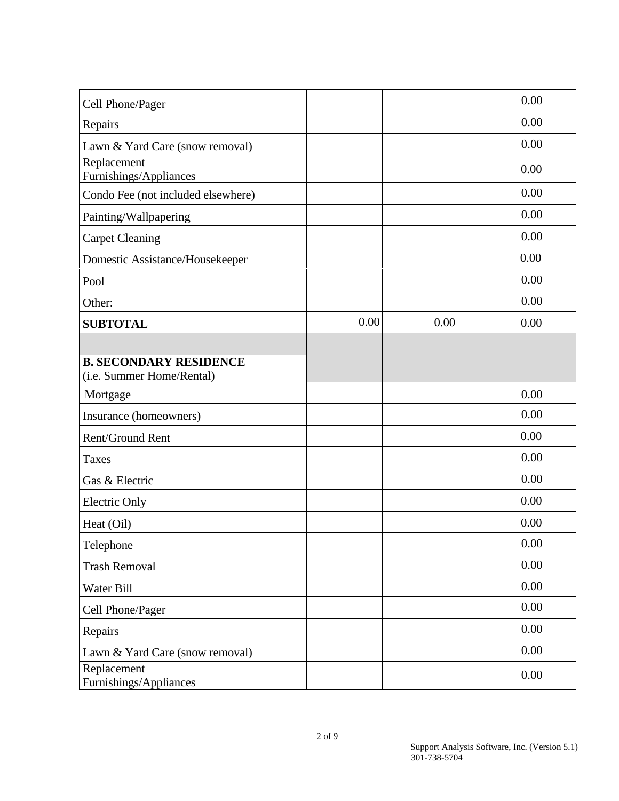| Cell Phone/Pager                                           |      |      | 0.00 |  |
|------------------------------------------------------------|------|------|------|--|
| Repairs                                                    |      |      | 0.00 |  |
| Lawn & Yard Care (snow removal)                            |      |      | 0.00 |  |
| Replacement<br>Furnishings/Appliances                      |      |      | 0.00 |  |
| Condo Fee (not included elsewhere)                         |      |      | 0.00 |  |
| Painting/Wallpapering                                      |      |      | 0.00 |  |
| <b>Carpet Cleaning</b>                                     |      |      | 0.00 |  |
| Domestic Assistance/Housekeeper                            |      |      | 0.00 |  |
| Pool                                                       |      |      | 0.00 |  |
| Other:                                                     |      |      | 0.00 |  |
| <b>SUBTOTAL</b>                                            | 0.00 | 0.00 | 0.00 |  |
|                                                            |      |      |      |  |
| <b>B. SECONDARY RESIDENCE</b><br>(i.e. Summer Home/Rental) |      |      |      |  |
| Mortgage                                                   |      |      | 0.00 |  |
| Insurance (homeowners)                                     |      |      | 0.00 |  |
| Rent/Ground Rent                                           |      |      | 0.00 |  |
| <b>Taxes</b>                                               |      |      | 0.00 |  |
| Gas & Electric                                             |      |      | 0.00 |  |
| <b>Electric Only</b>                                       |      |      | 0.00 |  |
| Heat (Oil)                                                 |      |      | 0.00 |  |
| Telephone                                                  |      |      | 0.00 |  |
| <b>Trash Removal</b>                                       |      |      | 0.00 |  |
| Water Bill                                                 |      |      | 0.00 |  |
| Cell Phone/Pager                                           |      |      | 0.00 |  |
| Repairs                                                    |      |      | 0.00 |  |
| Lawn & Yard Care (snow removal)                            |      |      | 0.00 |  |
| Replacement<br>Furnishings/Appliances                      |      |      | 0.00 |  |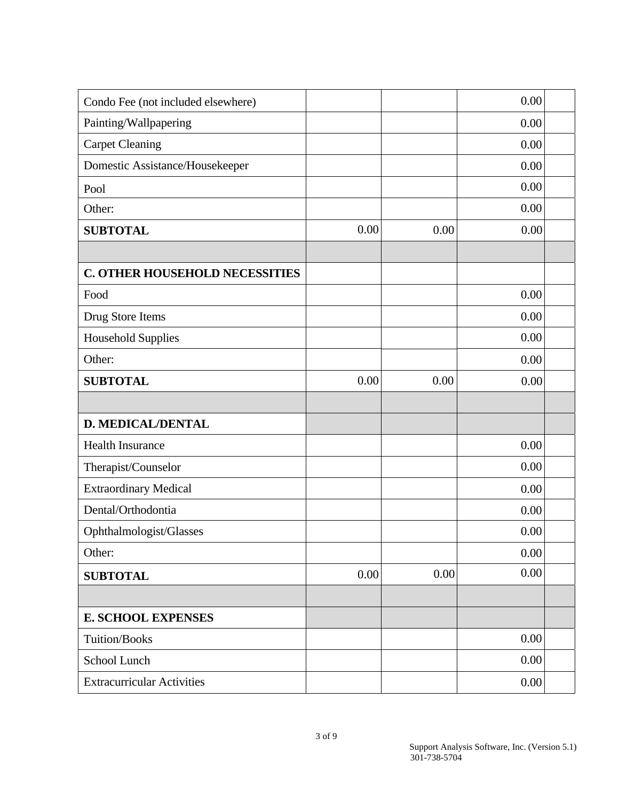| Condo Fee (not included elsewhere)    |      |      | 0.00 |  |
|---------------------------------------|------|------|------|--|
| Painting/Wallpapering                 |      |      | 0.00 |  |
| <b>Carpet Cleaning</b>                |      |      | 0.00 |  |
| Domestic Assistance/Housekeeper       |      |      | 0.00 |  |
| Pool                                  |      |      | 0.00 |  |
| Other:                                |      |      | 0.00 |  |
| <b>SUBTOTAL</b>                       | 0.00 | 0.00 | 0.00 |  |
|                                       |      |      |      |  |
| <b>C. OTHER HOUSEHOLD NECESSITIES</b> |      |      |      |  |
| Food                                  |      |      | 0.00 |  |
| Drug Store Items                      |      |      | 0.00 |  |
| <b>Household Supplies</b>             |      |      | 0.00 |  |
| Other:                                |      |      | 0.00 |  |
| <b>SUBTOTAL</b>                       | 0.00 | 0.00 | 0.00 |  |
|                                       |      |      |      |  |
| <b>D. MEDICAL/DENTAL</b>              |      |      |      |  |
| <b>Health Insurance</b>               |      |      | 0.00 |  |
| Therapist/Counselor                   |      |      | 0.00 |  |
| <b>Extraordinary Medical</b>          |      |      | 0.00 |  |
| Dental/Orthodontia                    |      |      | 0.00 |  |
| Ophthalmologist/Glasses               |      |      | 0.00 |  |
| Other:                                |      |      | 0.00 |  |
| <b>SUBTOTAL</b>                       | 0.00 | 0.00 | 0.00 |  |
|                                       |      |      |      |  |
| <b>E. SCHOOL EXPENSES</b>             |      |      |      |  |
| <b>Tuition/Books</b>                  |      |      | 0.00 |  |
| School Lunch                          |      |      | 0.00 |  |
|                                       |      |      |      |  |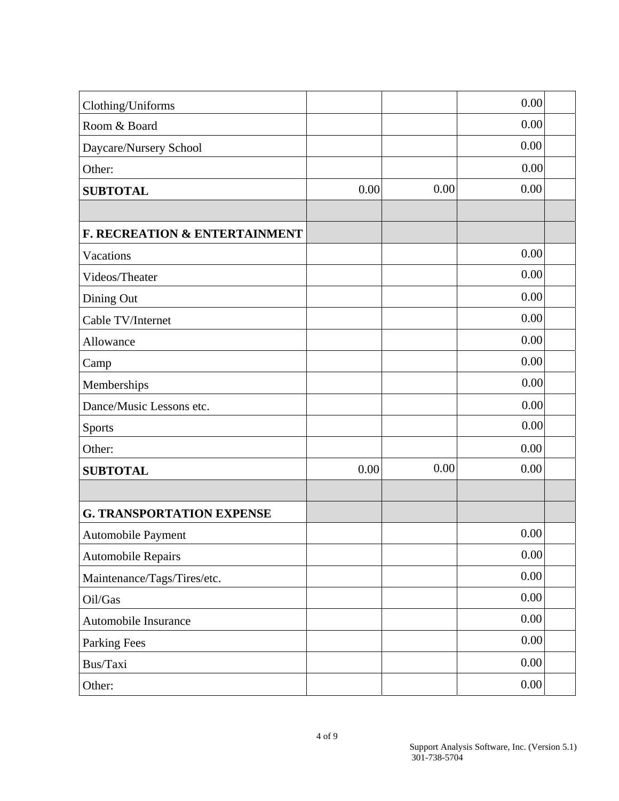| Clothing/Uniforms                        |      |      | 0.00     |  |
|------------------------------------------|------|------|----------|--|
| Room & Board                             |      |      | 0.00     |  |
| Daycare/Nursery School                   |      |      | 0.00     |  |
| Other:                                   |      |      | 0.00     |  |
| <b>SUBTOTAL</b>                          | 0.00 | 0.00 | 0.00     |  |
|                                          |      |      |          |  |
| <b>F. RECREATION &amp; ENTERTAINMENT</b> |      |      |          |  |
| Vacations                                |      |      | 0.00     |  |
| Videos/Theater                           |      |      | 0.00     |  |
| Dining Out                               |      |      | 0.00     |  |
| Cable TV/Internet                        |      |      | 0.00     |  |
| Allowance                                |      |      | 0.00     |  |
| Camp                                     |      |      | 0.00     |  |
| Memberships                              |      |      | 0.00     |  |
| Dance/Music Lessons etc.                 |      |      | 0.00     |  |
| Sports                                   |      |      | 0.00     |  |
| Other:                                   |      |      | 0.00     |  |
| <b>SUBTOTAL</b>                          | 0.00 | 0.00 | 0.00     |  |
|                                          |      |      |          |  |
| <b>G. TRANSPORTATION EXPENSE</b>         |      |      |          |  |
| <b>Automobile Payment</b>                |      |      | 0.00     |  |
| <b>Automobile Repairs</b>                |      |      | $0.00\,$ |  |
| Maintenance/Tags/Tires/etc.              |      |      | 0.00     |  |
| Oil/Gas                                  |      |      | 0.00     |  |
| Automobile Insurance                     |      |      | 0.00     |  |
| <b>Parking Fees</b>                      |      |      | $0.00\,$ |  |
| Bus/Taxi                                 |      |      | $0.00\,$ |  |
| Other:                                   |      |      | $0.00\,$ |  |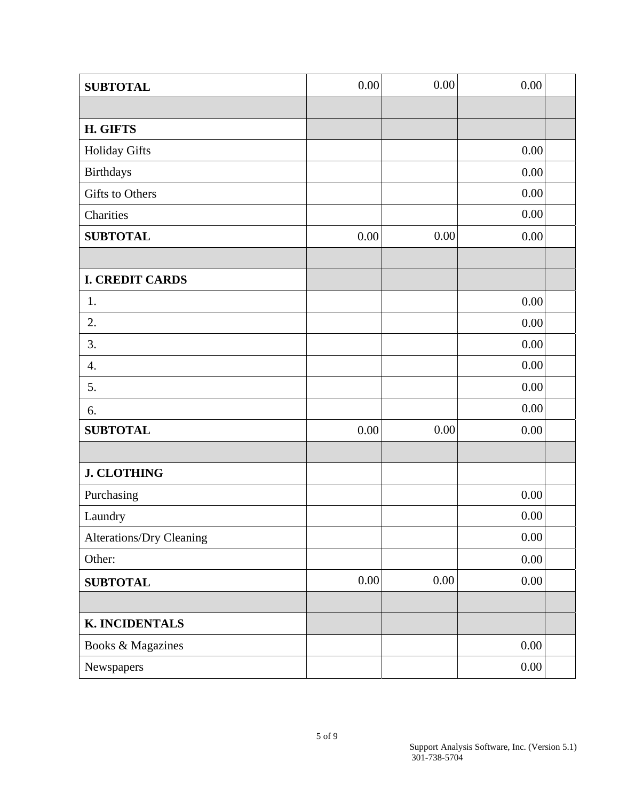| <b>SUBTOTAL</b>                 | 0.00     | 0.00 | 0.00     |  |
|---------------------------------|----------|------|----------|--|
|                                 |          |      |          |  |
| <b>H. GIFTS</b>                 |          |      |          |  |
| <b>Holiday Gifts</b>            |          |      | 0.00     |  |
| <b>Birthdays</b>                |          |      | $0.00\,$ |  |
| Gifts to Others                 |          |      | $0.00\,$ |  |
| Charities                       |          |      | 0.00     |  |
| <b>SUBTOTAL</b>                 | $0.00\,$ | 0.00 | $0.00\,$ |  |
|                                 |          |      |          |  |
| <b>I. CREDIT CARDS</b>          |          |      |          |  |
| 1.                              |          |      | 0.00     |  |
| 2.                              |          |      | 0.00     |  |
| 3.                              |          |      | $0.00\,$ |  |
| $\overline{4}$ .                |          |      | $0.00\,$ |  |
| 5.                              |          |      | $0.00\,$ |  |
| 6.                              |          |      | 0.00     |  |
| <b>SUBTOTAL</b>                 | 0.00     | 0.00 | $0.00\,$ |  |
|                                 |          |      |          |  |
| <b>J. CLOTHING</b>              |          |      |          |  |
| Purchasing                      |          |      | 0.00     |  |
| Laundry                         |          |      | 0.00     |  |
| <b>Alterations/Dry Cleaning</b> |          |      | $0.00\,$ |  |
| Other:                          |          |      | 0.00     |  |
| <b>SUBTOTAL</b>                 | 0.00     | 0.00 | 0.00     |  |
|                                 |          |      |          |  |
| <b>K. INCIDENTALS</b>           |          |      |          |  |
| Books & Magazines               |          |      | $0.00\,$ |  |
| Newspapers                      |          |      | $0.00\,$ |  |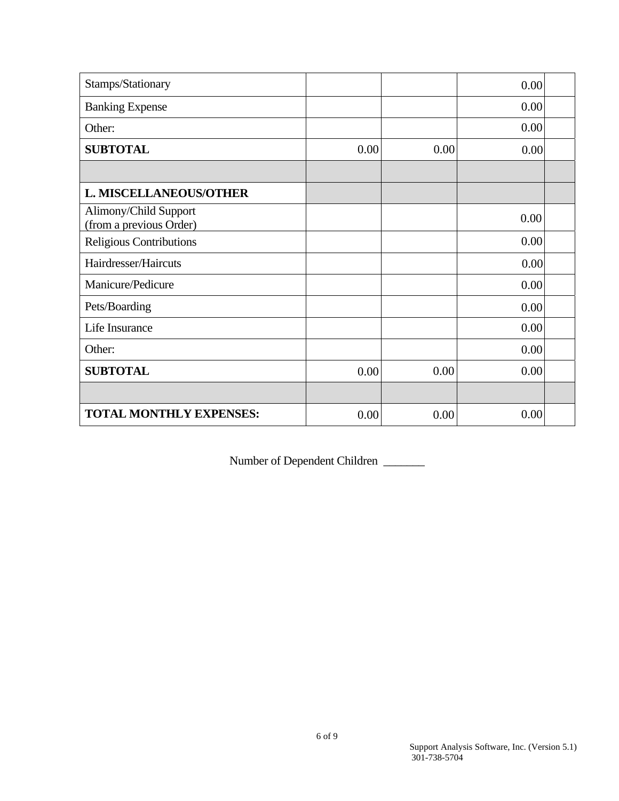| Stamps/Stationary                                |      |      | 0.00 |  |
|--------------------------------------------------|------|------|------|--|
| <b>Banking Expense</b>                           |      |      | 0.00 |  |
| Other:                                           |      |      | 0.00 |  |
| <b>SUBTOTAL</b>                                  | 0.00 | 0.00 | 0.00 |  |
|                                                  |      |      |      |  |
| <b>L. MISCELLANEOUS/OTHER</b>                    |      |      |      |  |
| Alimony/Child Support<br>(from a previous Order) |      |      | 0.00 |  |
| Religious Contributions                          |      |      | 0.00 |  |
| Hairdresser/Haircuts                             |      |      | 0.00 |  |
| Manicure/Pedicure                                |      |      | 0.00 |  |
| Pets/Boarding                                    |      |      | 0.00 |  |
| Life Insurance                                   |      |      | 0.00 |  |
| Other:                                           |      |      | 0.00 |  |
| <b>SUBTOTAL</b>                                  | 0.00 | 0.00 | 0.00 |  |
|                                                  |      |      |      |  |
| <b>TOTAL MONTHLY EXPENSES:</b>                   | 0.00 | 0.00 | 0.00 |  |

Number of Dependent Children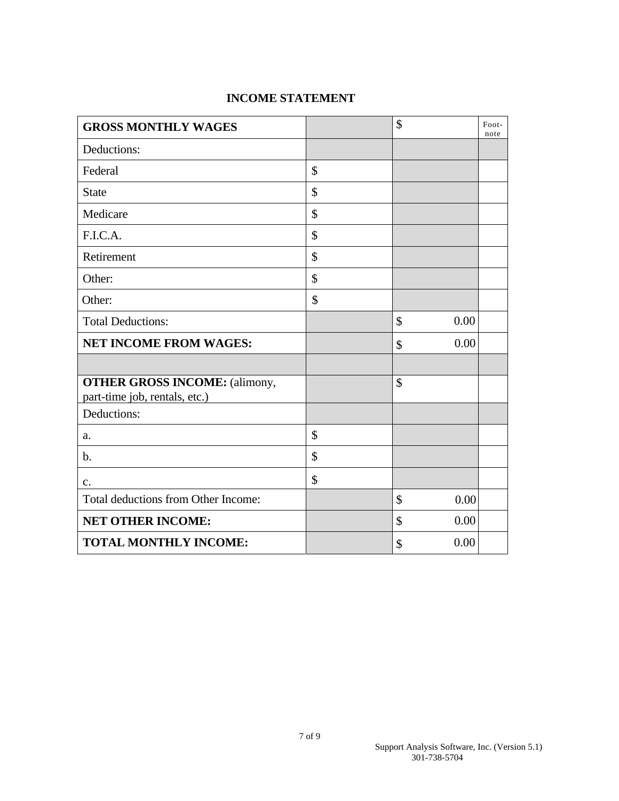## **INCOME STATEMENT**

| <b>GROSS MONTHLY WAGES</b>                                            | \$         | Foot-<br>note |
|-----------------------------------------------------------------------|------------|---------------|
| Deductions:                                                           |            |               |
| Federal                                                               | \$         |               |
| <b>State</b>                                                          | \$         |               |
| Medicare                                                              | \$         |               |
| F.I.C.A.                                                              | \$         |               |
| Retirement                                                            | \$         |               |
| Other:                                                                | \$         |               |
| Other:                                                                | \$         |               |
| <b>Total Deductions:</b>                                              | 0.00<br>\$ |               |
| <b>NET INCOME FROM WAGES:</b>                                         | 0.00<br>\$ |               |
|                                                                       |            |               |
| <b>OTHER GROSS INCOME:</b> (alimony,<br>part-time job, rentals, etc.) | \$         |               |
| Deductions:                                                           |            |               |
| a.                                                                    | \$         |               |
| b.                                                                    | \$         |               |
| c.                                                                    | \$         |               |
| Total deductions from Other Income:                                   | \$<br>0.00 |               |
| <b>NET OTHER INCOME:</b>                                              | 0.00<br>\$ |               |
| <b>TOTAL MONTHLY INCOME:</b>                                          | 0.00<br>\$ |               |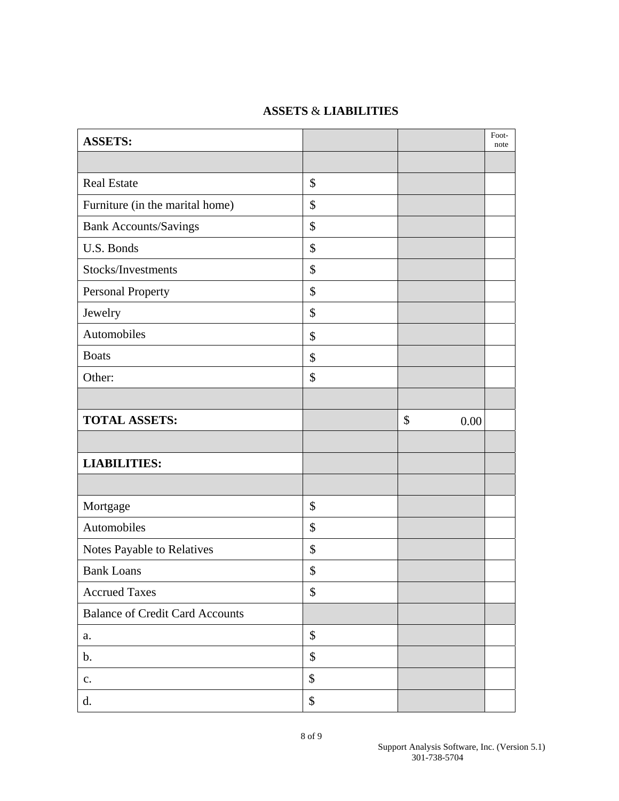## **ASSETS** & **LIABILITIES**

| <b>ASSETS:</b>                         |                   |            | Foot-<br>note |
|----------------------------------------|-------------------|------------|---------------|
|                                        |                   |            |               |
| <b>Real Estate</b>                     | \$                |            |               |
| Furniture (in the marital home)        | \$                |            |               |
| <b>Bank Accounts/Savings</b>           | \$                |            |               |
| U.S. Bonds                             | \$                |            |               |
| Stocks/Investments                     | \$                |            |               |
| Personal Property                      | \$                |            |               |
| Jewelry                                | \$                |            |               |
| Automobiles                            | \$                |            |               |
| <b>Boats</b>                           | $\boldsymbol{\$}$ |            |               |
| Other:                                 | \$                |            |               |
|                                        |                   |            |               |
| <b>TOTAL ASSETS:</b>                   |                   | \$<br>0.00 |               |
|                                        |                   |            |               |
| <b>LIABILITIES:</b>                    |                   |            |               |
|                                        |                   |            |               |
| Mortgage                               | \$                |            |               |
| Automobiles                            | \$                |            |               |
| Notes Payable to Relatives             | \$                |            |               |
| <b>Bank Loans</b>                      | \$                |            |               |
| <b>Accrued Taxes</b>                   | \$                |            |               |
| <b>Balance of Credit Card Accounts</b> |                   |            |               |
| a.                                     | \$                |            |               |
| $b$ .                                  | \$                |            |               |
| $\mathbf{C}$ .                         | $\$\,$            |            |               |
| d.                                     | \$                |            |               |